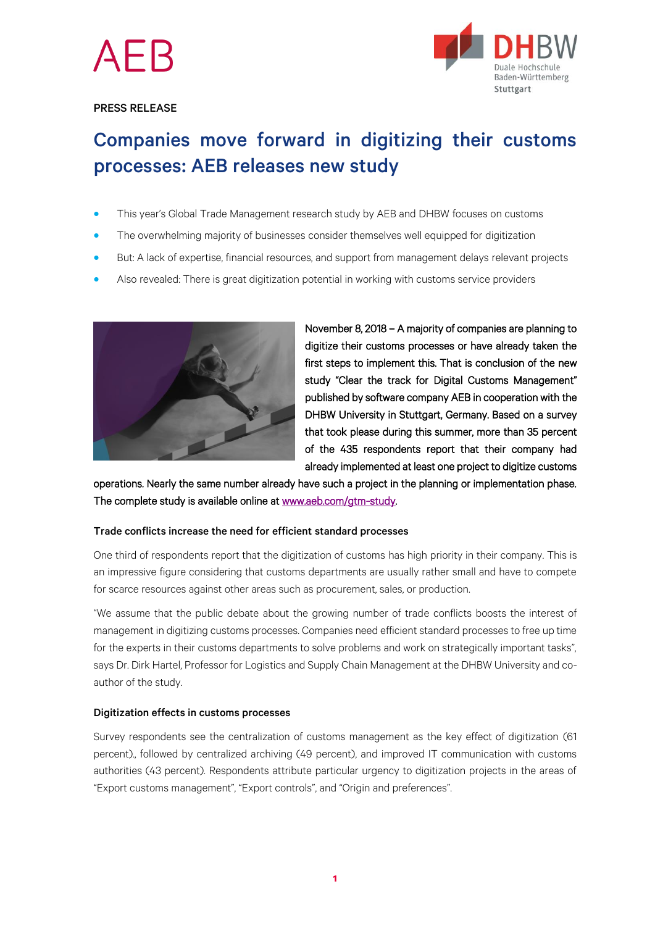

### PRESS RELEASE



# Companies move forward in digitizing their customs processes: AEB releases new study

- This year's Global Trade Management research study by AEB and DHBW focuses on customs
- The overwhelming majority of businesses consider themselves well equipped for digitization
- But: A lack of expertise, financial resources, and support from management delays relevant projects
- Also revealed: There is great digitization potential in working with customs service providers



November 8, 2018 – A majority of companies are planning to digitize their customs processes or have already taken the first steps to implement this. That is conclusion of the new study "Clear the track for [Digital Customs Management](http://www.aeb.com/gtm-studie)" published by software company AEB in cooperation with the DHBW University in Stuttgart, Germany. Based on a survey that took please during this summer, more than 35 percent of the 435 respondents report that their company had already implemented at least one project to digitize customs

operations. Nearly the same number already have such a project in the planning or implementation phase. The complete study is available online a[t www.aeb.com/gtm-study.](http://www.aeb.com/gtm-study) 

### Trade conflicts increase the need for efficient standard processes

One third of respondents report that the digitization of customs has high priority in their company. This is an impressive figure considering that customs departments are usually rather small and have to compete for scarce resources against other areas such as procurement, sales, or production.

"We assume that the public debate about the growing number of trade conflicts boosts the interest of management in digitizing customs processes. Companies need efficient standard processes to free up time for the experts in their customs departments to solve problems and work on strategically important tasks", says Dr. Dirk Hartel, Professor for Logistics and Supply Chain Management at the DHBW University and coauthor of the study.

### Digitization effects in customs processes

Survey respondents see the centralization of customs management as the key effect of digitization (61 percent)., followed by centralized archiving (49 percent), and improved IT communication with customs authorities (43 percent). Respondents attribute particular urgency to digitization projects in the areas of "Export customs management", "Export controls", and "Origin and preferences".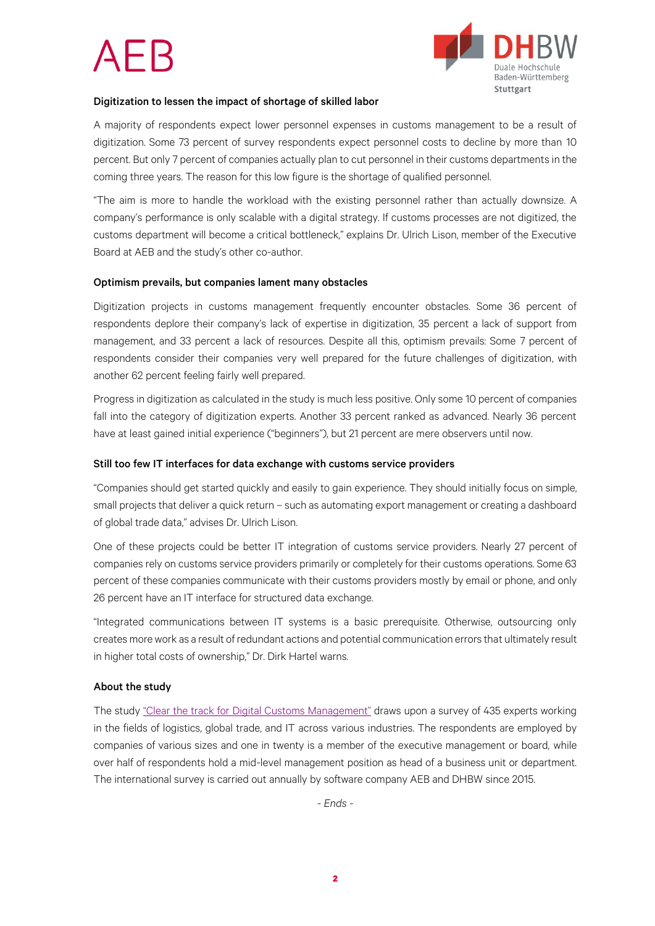

#### Digitization to lessen the impact of shortage of skilled labor

A majority of respondents expect lower personnel expenses in customs management to be a result of digitization. Some 73 percent of survey respondents expect personnel costs to decline by more than 10 percent. But only 7 percent of companies actually plan to cut personnel in their customs departments in the coming three years. The reason for this low figure is the shortage of qualified personnel.

"The aim is more to handle the workload with the existing personnel rather than actually downsize. A company's performance is only scalable with a digital strategy. If customs processes are not digitized, the customs department will become a critical bottleneck," explains Dr. Ulrich Lison, member of the Executive Board at AEB and the study's other co-author.

### Optimism prevails, but companies lament many obstacles

Digitization projects in customs management frequently encounter obstacles. Some 36 percent of respondents deplore their company's lack of expertise in digitization, 35 percent a lack of support from management, and 33 percent a lack of resources. Despite all this, optimism prevails: Some 7 percent of respondents consider their companies very well prepared for the future challenges of digitization, with another 62 percent feeling fairly well prepared.

Progress in digitization as calculated in the study is much less positive. Only some 10 percent of companies fall into the category of digitization experts. Another 33 percent ranked as advanced. Nearly 36 percent have at least gained initial experience ("beginners"), but 21 percent are mere observers until now.

#### Still too few IT interfaces for data exchange with customs service providers

"Companies should get started quickly and easily to gain experience. They should initially focus on simple, small projects that deliver a quick return – such as automating export management or creating a dashboard of global trade data," advises Dr. Ulrich Lison.

One of these projects could be better IT integration of customs service providers. Nearly 27 percent of companies rely on customs service providers primarily or completely for their customs operations. Some 63 percent of these companies communicate with their customs providers mostly by email or phone, and only 26 percent have an IT interface for structured data exchange.

"Integrated communications between IT systems is a basic prerequisite. Otherwise, outsourcing only creates more work as a result of redundant actions and potential communication errors that ultimately result in higher total costs of ownership," Dr. Dirk Hartel warns.

### About the study

The study "[Clear the track for Digital Customs Management](http://www.aeb.com/gtm-study)" draws upon a survey of 435 experts working in the fields of logistics, global trade, and IT across various industries. The respondents are employed by companies of various sizes and one in twenty is a member of the executive management or board, while over half of respondents hold a mid-level management position as head of a business unit or department. The international survey is carried out annually by software company AEB and DHBW since 2015.

*- Ends -*